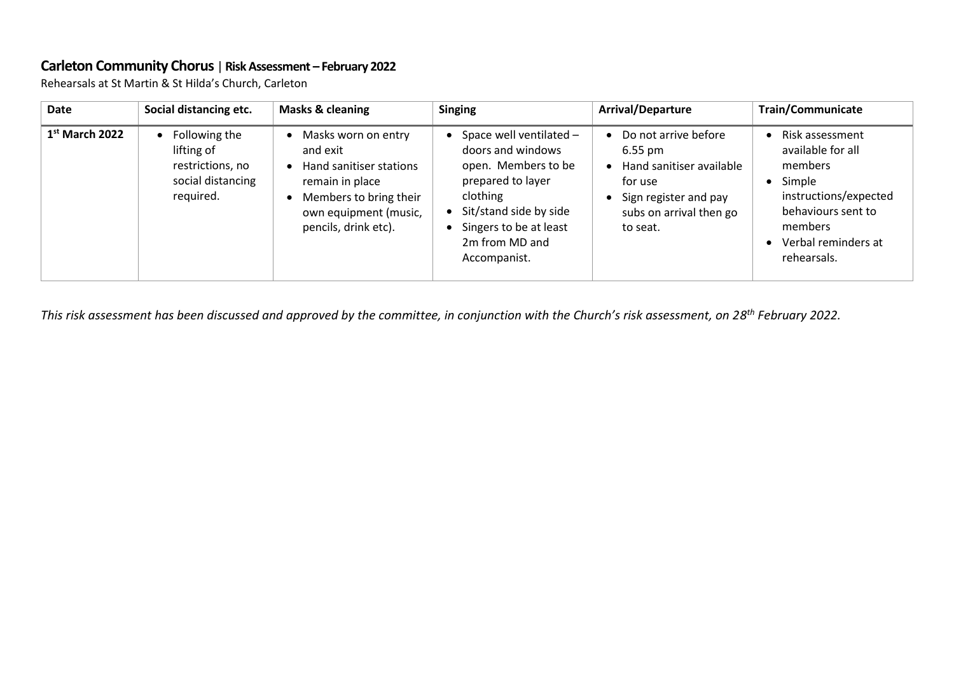## **Carleton Community Chorus** | **Risk Assessment – February 2022**

Rehearsals at St Martin & St Hilda's Church, Carleton

| <b>Date</b>      | Social distancing etc.                                                            | <b>Masks &amp; cleaning</b>                                                                                                                              | <b>Singing</b>                                                                                                                                                                             | Arrival/Departure                                                                                                                                | <b>Train/Communicate</b>                                                                                                                                  |
|------------------|-----------------------------------------------------------------------------------|----------------------------------------------------------------------------------------------------------------------------------------------------------|--------------------------------------------------------------------------------------------------------------------------------------------------------------------------------------------|--------------------------------------------------------------------------------------------------------------------------------------------------|-----------------------------------------------------------------------------------------------------------------------------------------------------------|
| $1st$ March 2022 | Following the<br>lifting of<br>restrictions, no<br>social distancing<br>required. | Masks worn on entry<br>and exit<br>Hand sanitiser stations<br>remain in place<br>Members to bring their<br>own equipment (music,<br>pencils, drink etc). | Space well ventilated -<br>doors and windows<br>open. Members to be<br>prepared to layer<br>clothing<br>Sit/stand side by side<br>Singers to be at least<br>2m from MD and<br>Accompanist. | Do not arrive before<br>$6.55 \text{ pm}$<br>Hand sanitiser available<br>for use<br>Sign register and pay<br>subs on arrival then go<br>to seat. | Risk assessment<br>available for all<br>members<br>Simple<br>instructions/expected<br>behaviours sent to<br>members<br>Verbal reminders at<br>rehearsals. |

*This risk assessment has been discussed and approved by the committee, in conjunction with the Church's risk assessment, on 28 th February 2022.*